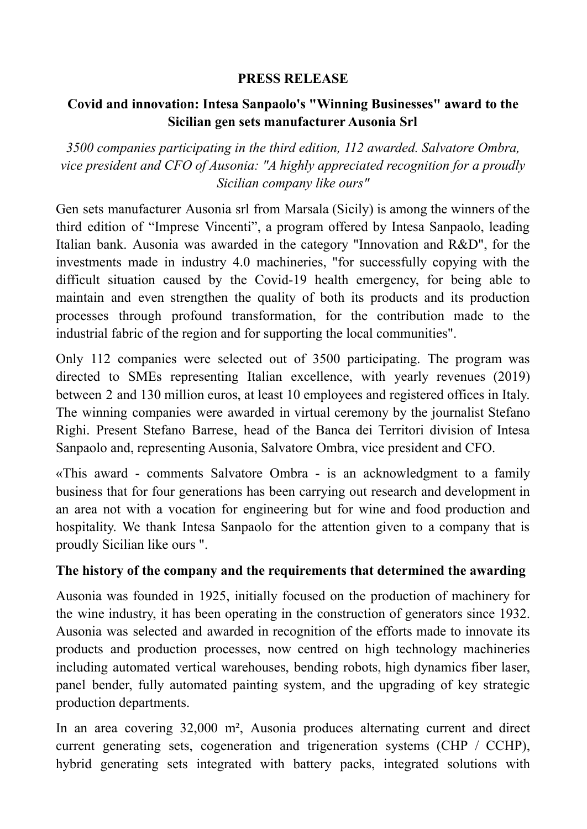## **PRESS RELEASE**

## **Covid and innovation: Intesa Sanpaolo's "Winning Businesses" award to the Sicilian gen sets manufacturer Ausonia Srl**

*3500 companies participating in the third edition, 112 awarded. Salvatore Ombra, vice president and CFO of Ausonia: "A highly appreciated recognition for a proudly Sicilian company like ours"*

Gen sets manufacturer Ausonia srl from Marsala (Sicily) is among the winners of the third edition of "Imprese Vincenti", a program offered by Intesa Sanpaolo, leading Italian bank. Ausonia was awarded in the category "Innovation and R&D", for the investments made in industry 4.0 machineries, "for successfully copying with the difficult situation caused by the Covid-19 health emergency, for being able to maintain and even strengthen the quality of both its products and its production processes through profound transformation, for the contribution made to the industrial fabric of the region and for supporting the local communities".

Only 112 companies were selected out of 3500 participating. The program was directed to SMEs representing Italian excellence, with yearly revenues (2019) between 2 and 130 million euros, at least 10 employees and registered offices in Italy. The winning companies were awarded in virtual ceremony by the journalist Stefano Righi. Present Stefano Barrese, head of the Banca dei Territori division of Intesa Sanpaolo and, representing Ausonia, Salvatore Ombra, vice president and CFO.

«This award - comments Salvatore Ombra - is an acknowledgment to a family business that for four generations has been carrying out research and development in an area not with a vocation for engineering but for wine and food production and hospitality. We thank Intesa Sanpaolo for the attention given to a company that is proudly Sicilian like ours ".

## **The history of the company and the requirements that determined the awarding**

Ausonia was founded in 1925, initially focused on the production of machinery for the wine industry, it has been operating in the construction of generators since 1932. Ausonia was selected and awarded in recognition of the efforts made to innovate its products and production processes, now centred on high technology machineries including automated vertical warehouses, bending robots, high dynamics fiber laser, panel bender, fully automated painting system, and the upgrading of key strategic production departments.

In an area covering 32,000 m², Ausonia produces alternating current and direct current generating sets, cogeneration and trigeneration systems (CHP / CCHP), hybrid generating sets integrated with battery packs, integrated solutions with